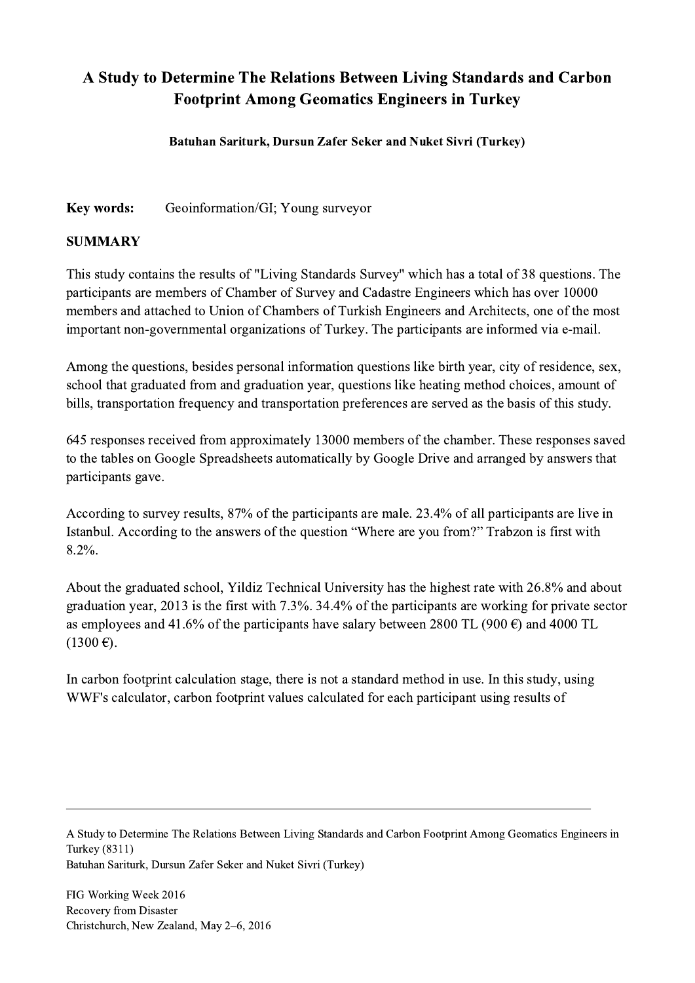## A Study to Determine The Relations Between Living Standards and Carbon Footprint Among Geomatics Engineers in Turkey

Batuhan Sariturk, Dursun Zafer Seker and Nuket Sivri (Turkey)

Key words: Geoinformation/GI; Young surveyor

## SUMMARY

This study contains the results of "Living Standards Survey" which has a total of 38 questions. The participants are members of Chamber of Survey and Cadastre Engineers which has over 10000 members and attached to Union of Chambers of Turkish Engineers and Architects, one of the most important non-governmental organizations of Turkey. The participants are informed via e-mail.

Among the questions, besides personal information questions like birth year, city of residence, sex, school that graduated from and graduation year, questions like heating method choices, amount of bills, transportation frequency and transportation preferences are served as the basis of this study.

645 responses received from approximately 13000 members of the chamber. These responses saved to the tables on Google Spreadsheets automatically by Google Drive and arranged by answers that participants gave.

According to survey results, 87% of the participants are male. 23.4% of all participants are live in Istanbul. According to the answers of the question "Where are you from?" Trabzon is first with 8.2%.

About the graduated school, Yildiz Technical University has the highest rate with 26.8% and about graduation year, 2013 is the first with 7.3%. 34.4% of the participants are working for private sector as employees and 41.6% of the participants have salary between 2800 TL (900  $\epsilon$ ) and 4000 TL  $(1300 \,\epsilon)$ .

In carbon footprint calculation stage, there is not a standard method in use. In this study, using WWF's calculator, carbon footprint values calculated for each participant using results of

A Study to Determine The Relations Between Living Standards and Carbon Footprint Among Geomatics Engineers in Turkey (8311) Batuhan Sariturk, Dursun Zafer Seker and Nuket Sivri (Turkey)

 $\mathcal{L}_\mathcal{L} = \{ \mathcal{L}_\mathcal{L} = \{ \mathcal{L}_\mathcal{L} = \{ \mathcal{L}_\mathcal{L} = \{ \mathcal{L}_\mathcal{L} = \{ \mathcal{L}_\mathcal{L} = \{ \mathcal{L}_\mathcal{L} = \{ \mathcal{L}_\mathcal{L} = \{ \mathcal{L}_\mathcal{L} = \{ \mathcal{L}_\mathcal{L} = \{ \mathcal{L}_\mathcal{L} = \{ \mathcal{L}_\mathcal{L} = \{ \mathcal{L}_\mathcal{L} = \{ \mathcal{L}_\mathcal{L} = \{ \mathcal{L}_\mathcal{$ 

FIG Working Week 2016 Recovery from Disaster Christchurch, New Zealand, May 2–6, 2016